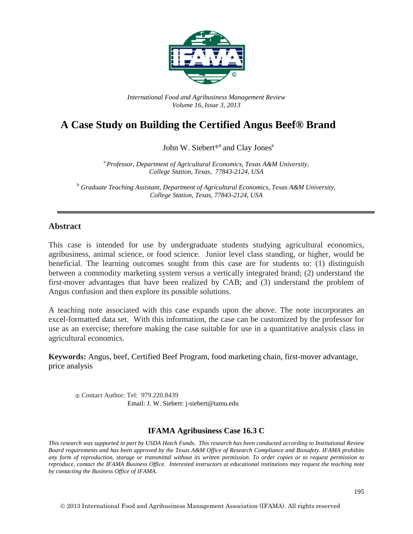

*International Food and Agribusiness Management Review Volume 16, Issue 3, 2013*

# **A Case Study on Building the Certified Angus Beef® Brand**

John W. Siebert<sup>®</sup> and Clay Jones<sup>b</sup>

<sup>a</sup>*Professor, Department of Agricultural Economics, Texas A&M University, College Station, Texas, 77843-2124, USA*

<sup>b</sup> *Graduate Teaching Assistant, Department of Agricultural Economics, Texas A&M University, College Station, Texas, 77843-2124, USA*

#### **Abstract**

This case is intended for use by undergraduate students studying agricultural economics, agribusiness, animal science, or food science. Junior level class standing, or higher, would be beneficial. The learning outcomes sought from this case are for students to: (1) distinguish between a commodity marketing system versus a vertically integrated brand; (2) understand the first-mover advantages that have been realized by CAB; and (3) understand the problem of Angus confusion and then explore its possible solutions.

A teaching note associated with this case expands upon the above. The note incorporates an excel-formatted data set. With this information, the case can be customized by the professor for use as an exercise; therefore making the case suitable for use in a quantitative analysis class in agricultural economics.

**Keywords:** Angus, beef, Certified Beef Program, food marketing chain, first-mover advantage, price analysis

 Contact Author: Tel: 979.220.8439 Email: J. W. Siebert: j-siebert@tamu.edu

#### **IFAMA Agribusiness Case 16.3 C**

*This research was supported in part by USDA Hatch Funds. This research has been conducted according to Institutional Review Board requirements and has been approved by the Texas A&M Office of Research Compliance and Biosafety. IFAMA prohibits any form of reproduction, storage or transmittal without its written permission. To order copies or to request permission to reproduce, contact the IFAMA Business Office. Interested instructors at educational institutions may request the teaching note by contacting the Business Office of IFAMA.*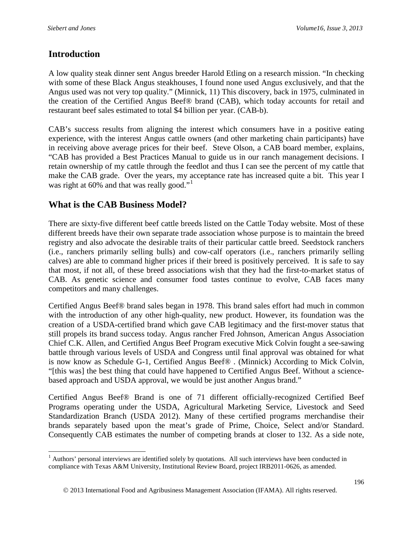### **Introduction**

A low quality steak dinner sent Angus breeder Harold Etling on a research mission. "In checking with some of these Black Angus steakhouses, I found none used Angus exclusively, and that the Angus used was not very top quality." (Minnick, 11) This discovery, back in 1975, culminated in the creation of the Certified Angus Beef® brand (CAB), which today accounts for retail and restaurant beef sales estimated to total \$4 billion per year. (CAB-b).

CAB's success results from aligning the interest which consumers have in a positive eating experience, with the interest Angus cattle owners (and other marketing chain participants) have in receiving above average prices for their beef. Steve Olson, a CAB board member, explains, "CAB has provided a Best Practices Manual to guide us in our ranch management decisions. I retain ownership of my cattle through the feedlot and thus I can see the percent of my cattle that make the CAB grade. Over the years, my acceptance rate has increased quite a bit. This year I was right at 60% and that was really good."<sup>[1](#page-1-0)</sup>

### **What is the CAB Business Model?**

There are sixty-five different beef cattle breeds listed on the Cattle Today website. Most of these different breeds have their own separate trade association whose purpose is to maintain the breed registry and also advocate the desirable traits of their particular cattle breed. Seedstock ranchers (i.e., ranchers primarily selling bulls) and cow-calf operators (i.e., ranchers primarily selling calves) are able to command higher prices if their breed is positively perceived. It is safe to say that most, if not all, of these breed associations wish that they had the first-to-market status of CAB. As genetic science and consumer food tastes continue to evolve, CAB faces many competitors and many challenges.

Certified Angus Beef® brand sales began in 1978. This brand sales effort had much in common with the introduction of any other high-quality, new product. However, its foundation was the creation of a USDA-certified brand which gave CAB legitimacy and the first-mover status that still propels its brand success today. Angus rancher Fred Johnson, American Angus Association Chief C.K. Allen, and Certified Angus Beef Program executive Mick Colvin fought a see-sawing battle through various levels of USDA and Congress until final approval was obtained for what is now know as Schedule G-1, Certified Angus Beef® . (Minnick) According to Mick Colvin, "[this was] the best thing that could have happened to Certified Angus Beef. Without a sciencebased approach and USDA approval, we would be just another Angus brand."

Certified Angus Beef® Brand is one of 71 different officially-recognized Certified Beef Programs operating under the USDA, Agricultural Marketing Service, Livestock and Seed Standardization Branch (USDA 2012). Many of these certified programs merchandise their brands separately based upon the meat's grade of Prime, Choice, Select and/or Standard. Consequently CAB estimates the number of competing brands at closer to 132. As a side note,

<span id="page-1-0"></span><sup>&</sup>lt;sup>1</sup> Authors' personal interviews are identified solely by quotations. All such interviews have been conducted in compliance with Texas A&M University, Institutional Review Board, project IRB2011-0626, as amended.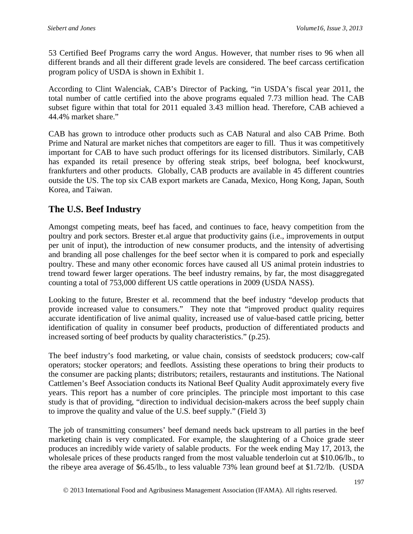53 Certified Beef Programs carry the word Angus. However, that number rises to 96 when all different brands and all their different grade levels are considered. The beef carcass certification program policy of USDA is shown in Exhibit 1.

According to Clint Walenciak, CAB's Director of Packing, "in USDA's fiscal year 2011, the total number of cattle certified into the above programs equaled 7.73 million head. The CAB subset figure within that total for 2011 equaled 3.43 million head. Therefore, CAB achieved a 44.4% market share."

CAB has grown to introduce other products such as CAB Natural and also CAB Prime. Both Prime and Natural are market niches that competitors are eager to fill. Thus it was competitively important for CAB to have such product offerings for its licensed distributors. Similarly, CAB has expanded its retail presence by offering steak strips, beef bologna, beef knockwurst, frankfurters and other products. Globally, CAB products are available in 45 different countries outside the US. The top six CAB export markets are Canada, Mexico, Hong Kong, Japan, South Korea, and Taiwan.

### **The U.S. Beef Industry**

Amongst competing meats, beef has faced, and continues to face, heavy competition from the poultry and pork sectors. Brester et.al argue that productivity gains (i.e., improvements in output per unit of input), the introduction of new consumer products, and the intensity of advertising and branding all pose challenges for the beef sector when it is compared to pork and especially poultry. These and many other economic forces have caused all US animal protein industries to trend toward fewer larger operations. The beef industry remains, by far, the most disaggregated counting a total of 753,000 different US cattle operations in 2009 (USDA NASS).

Looking to the future, Brester et al. recommend that the beef industry "develop products that provide increased value to consumers." They note that "improved product quality requires accurate identification of live animal quality, increased use of value-based cattle pricing, better identification of quality in consumer beef products, production of differentiated products and increased sorting of beef products by quality characteristics." (p.25).

The beef industry's food marketing, or value chain, consists of seedstock producers; cow-calf operators; stocker operators; and feedlots. Assisting these operations to bring their products to the consumer are packing plants; distributors; retailers, restaurants and institutions. The National Cattlemen's Beef Association conducts its National Beef Quality Audit approximately every five years. This report has a number of core principles. The principle most important to this case study is that of providing, "direction to individual decision-makers across the beef supply chain to improve the quality and value of the U.S. beef supply." (Field 3)

The job of transmitting consumers' beef demand needs back upstream to all parties in the beef marketing chain is very complicated. For example, the slaughtering of a Choice grade steer produces an incredibly wide variety of salable products. For the week ending May 17, 2013, the wholesale prices of these products ranged from the most valuable tenderloin cut at \$10.06/lb., to the ribeye area average of \$6.45/lb., to less valuable 73% lean ground beef at \$1.72/lb. (USDA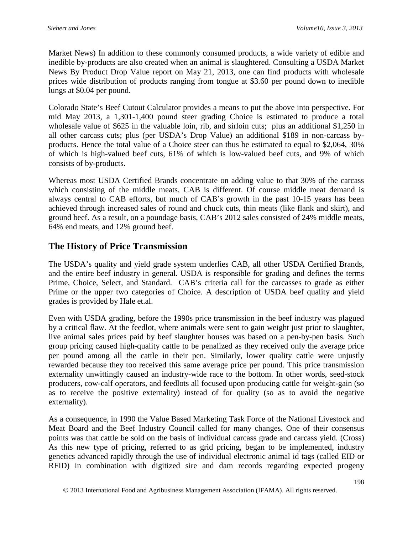Market News) In addition to these commonly consumed products, a wide variety of edible and inedible by-products are also created when an animal is slaughtered. Consulting a USDA Market News By Product Drop Value report on May 21, 2013, one can find products with wholesale prices wide distribution of products ranging from tongue at \$3.60 per pound down to inedible lungs at \$0.04 per pound.

Colorado State's Beef Cutout Calculator provides a means to put the above into perspective. For mid May 2013, a 1,301-1,400 pound steer grading Choice is estimated to produce a total wholesale value of \$625 in the valuable loin, rib, and sirloin cuts; plus an additional \$1,250 in all other carcass cuts; plus (per USDA's Drop Value) an additional \$189 in non-carcass byproducts. Hence the total value of a Choice steer can thus be estimated to equal to \$2,064, 30% of which is high-valued beef cuts, 61% of which is low-valued beef cuts, and 9% of which consists of by-products.

Whereas most USDA Certified Brands concentrate on adding value to that 30% of the carcass which consisting of the middle meats, CAB is different. Of course middle meat demand is always central to CAB efforts, but much of CAB's growth in the past 10-15 years has been achieved through increased sales of round and chuck cuts, thin meats (like flank and skirt), and ground beef. As a result, on a poundage basis, CAB's 2012 sales consisted of 24% middle meats, 64% end meats, and 12% ground beef.

# **The History of Price Transmission**

The USDA's quality and yield grade system underlies CAB, all other USDA Certified Brands, and the entire beef industry in general. USDA is responsible for grading and defines the terms Prime, Choice, Select, and Standard. CAB's criteria call for the carcasses to grade as either Prime or the upper two categories of Choice. A description of USDA beef quality and yield grades is provided by Hale et.al.

Even with USDA grading, before the 1990s price transmission in the beef industry was plagued by a critical flaw. At the feedlot, where animals were sent to gain weight just prior to slaughter, live animal sales prices paid by beef slaughter houses was based on a pen-by-pen basis. Such group pricing caused high-quality cattle to be penalized as they received only the average price per pound among all the cattle in their pen. Similarly, lower quality cattle were unjustly rewarded because they too received this same average price per pound. This price transmission externality unwittingly caused an industry-wide race to the bottom. In other words, seed-stock producers, cow-calf operators, and feedlots all focused upon producing cattle for weight-gain (so as to receive the positive externality) instead of for quality (so as to avoid the negative externality).

As a consequence, in 1990 the Value Based Marketing Task Force of the National Livestock and Meat Board and the Beef Industry Council called for many changes. One of their consensus points was that cattle be sold on the basis of individual carcass grade and carcass yield. (Cross) As this new type of pricing, referred to as grid pricing, began to be implemented, industry genetics advanced rapidly through the use of individual electronic animal id tags (called EID or RFID) in combination with digitized sire and dam records regarding expected progeny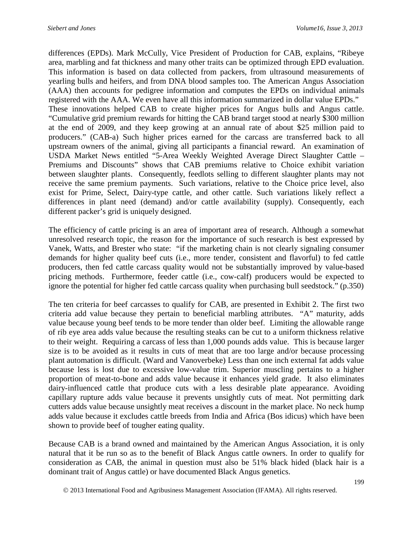differences (EPDs). Mark McCully, Vice President of Production for CAB, explains, "Ribeye area, marbling and fat thickness and many other traits can be optimized through EPD evaluation. This information is based on data collected from packers, from ultrasound measurements of yearling bulls and heifers, and from DNA blood samples too. The American Angus Association (AAA) then accounts for pedigree information and computes the EPDs on individual animals registered with the AAA. We even have all this information summarized in dollar value EPDs." These innovations helped CAB to create higher prices for Angus bulls and Angus cattle. "Cumulative grid premium rewards for hitting the CAB brand target stood at nearly \$300 million at the end of 2009, and they keep growing at an annual rate of about \$25 million paid to producers." (CAB-a) Such higher prices earned for the carcass are transferred back to all upstream owners of the animal, giving all participants a financial reward. An examination of USDA Market News entitled "5-Area Weekly Weighted Average Direct Slaughter Cattle – Premiums and Discounts" shows that CAB premiums relative to Choice exhibit variation between slaughter plants. Consequently, feedlots selling to different slaughter plants may not receive the same premium payments. Such variations, relative to the Choice price level, also exist for Prime, Select, Dairy-type cattle, and other cattle. Such variations likely reflect a differences in plant need (demand) and/or cattle availability (supply). Consequently, each different packer's grid is uniquely designed.

The efficiency of cattle pricing is an area of important area of research. Although a somewhat unresolved research topic, the reason for the importance of such research is best expressed by Vanek, Watts, and Brester who state: "if the marketing chain is not clearly signaling consumer demands for higher quality beef cuts (i.e., more tender, consistent and flavorful) to fed cattle producers, then fed cattle carcass quality would not be substantially improved by value-based pricing methods. Furthermore, feeder cattle (i.e., cow-calf) producers would be expected to ignore the potential for higher fed cattle carcass quality when purchasing bull seedstock." (p.350)

The ten criteria for beef carcasses to qualify for CAB, are presented in Exhibit 2. The first two criteria add value because they pertain to beneficial marbling attributes. "A" maturity, adds value because young beef tends to be more tender than older beef. Limiting the allowable range of rib eye area adds value because the resulting steaks can be cut to a uniform thickness relative to their weight. Requiring a carcass of less than 1,000 pounds adds value. This is because larger size is to be avoided as it results in cuts of meat that are too large and/or because processing plant automation is difficult. (Ward and Vanoverbeke) Less than one inch external fat adds value because less is lost due to excessive low-value trim. Superior muscling pertains to a higher proportion of meat-to-bone and adds value because it enhances yield grade. It also eliminates dairy-influenced cattle that produce cuts with a less desirable plate appearance. Avoiding capillary rupture adds value because it prevents unsightly cuts of meat. Not permitting dark cutters adds value because unsightly meat receives a discount in the market place. No neck hump adds value because it excludes cattle breeds from India and Africa (Bos idicus) which have been shown to provide beef of tougher eating quality.

Because CAB is a brand owned and maintained by the American Angus Association, it is only natural that it be run so as to the benefit of Black Angus cattle owners. In order to qualify for consideration as CAB, the animal in question must also be 51% black hided (black hair is a dominant trait of Angus cattle) or have documented Black Angus genetics.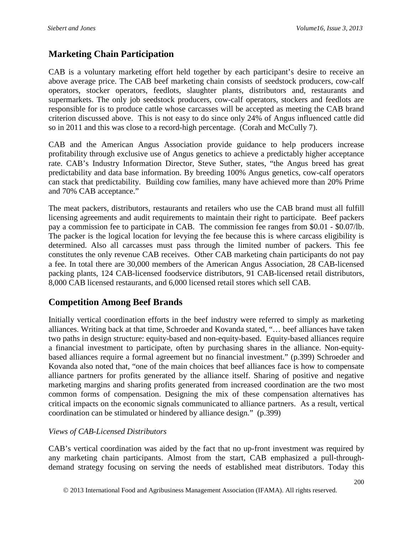### **Marketing Chain Participation**

CAB is a voluntary marketing effort held together by each participant's desire to receive an above average price. The CAB beef marketing chain consists of seedstock producers, cow-calf operators, stocker operators, feedlots, slaughter plants, distributors and, restaurants and supermarkets. The only job seedstock producers, cow-calf operators, stockers and feedlots are responsible for is to produce cattle whose carcasses will be accepted as meeting the CAB brand criterion discussed above. This is not easy to do since only 24% of Angus influenced cattle did so in 2011 and this was close to a record-high percentage. (Corah and McCully 7).

CAB and the American Angus Association provide guidance to help producers increase profitability through exclusive use of Angus genetics to achieve a predictably higher acceptance rate. CAB's Industry Information Director, Steve Suther, states, "the Angus breed has great predictability and data base information. By breeding 100% Angus genetics, cow-calf operators can stack that predictability. Building cow families, many have achieved more than 20% Prime and 70% CAB acceptance."

The meat packers, distributors, restaurants and retailers who use the CAB brand must all fulfill licensing agreements and audit requirements to maintain their right to participate. Beef packers pay a commission fee to participate in CAB. The commission fee ranges from \$0.01 - \$0.07/lb. The packer is the logical location for levying the fee because this is where carcass eligibility is determined. Also all carcasses must pass through the limited number of packers. This fee constitutes the only revenue CAB receives. Other CAB marketing chain participants do not pay a fee. In total there are 30,000 members of the American Angus Association, 28 CAB-licensed packing plants, 124 CAB-licensed foodservice distributors, 91 CAB-licensed retail distributors, 8,000 CAB licensed restaurants, and 6,000 licensed retail stores which sell CAB.

#### **Competition Among Beef Brands**

Initially vertical coordination efforts in the beef industry were referred to simply as marketing alliances. Writing back at that time, Schroeder and Kovanda stated, "… beef alliances have taken two paths in design structure: equity-based and non-equity-based. Equity-based alliances require a financial investment to participate, often by purchasing shares in the alliance. Non-equitybased alliances require a formal agreement but no financial investment." (p.399) Schroeder and Kovanda also noted that, "one of the main choices that beef alliances face is how to compensate alliance partners for profits generated by the alliance itself. Sharing of positive and negative marketing margins and sharing profits generated from increased coordination are the two most common forms of compensation. Designing the mix of these compensation alternatives has critical impacts on the economic signals communicated to alliance partners. As a result, vertical coordination can be stimulated or hindered by alliance design." (p.399)

#### *Views of CAB-Licensed Distributors*

CAB's vertical coordination was aided by the fact that no up-front investment was required by any marketing chain participants. Almost from the start, CAB emphasized a pull-throughdemand strategy focusing on serving the needs of established meat distributors. Today this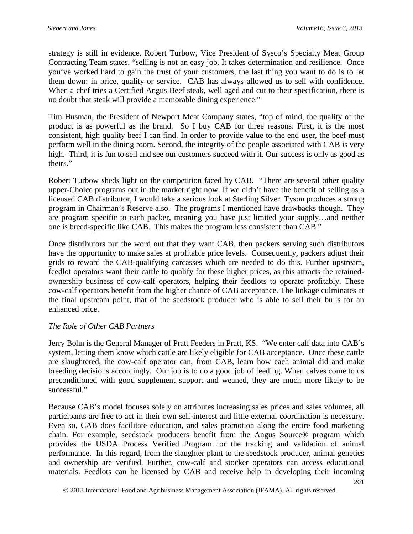strategy is still in evidence. Robert Turbow, Vice President of Sysco's Specialty Meat Group Contracting Team states, "selling is not an easy job. It takes determination and resilience. Once you've worked hard to gain the trust of your customers, the last thing you want to do is to let them down: in price, quality or service. CAB has always allowed us to sell with confidence. When a chef tries a Certified Angus Beef steak, well aged and cut to their specification, there is no doubt that steak will provide a memorable dining experience."

Tim Husman, the President of Newport Meat Company states, "top of mind, the quality of the product is as powerful as the brand. So I buy CAB for three reasons. First, it is the most consistent, high quality beef I can find. In order to provide value to the end user, the beef must perform well in the dining room. Second, the integrity of the people associated with CAB is very high. Third, it is fun to sell and see our customers succeed with it. Our success is only as good as theirs."

Robert Turbow sheds light on the competition faced by CAB. "There are several other quality upper-Choice programs out in the market right now. If we didn't have the benefit of selling as a licensed CAB distributor, I would take a serious look at Sterling Silver. Tyson produces a strong program in Chairman's Reserve also. The programs I mentioned have drawbacks though. They are program specific to each packer, meaning you have just limited your supply…and neither one is breed-specific like CAB. This makes the program less consistent than CAB."

Once distributors put the word out that they want CAB, then packers serving such distributors have the opportunity to make sales at profitable price levels. Consequently, packers adjust their grids to reward the CAB-qualifying carcasses which are needed to do this. Further upstream, feedlot operators want their cattle to qualify for these higher prices, as this attracts the retainedownership business of cow-calf operators, helping their feedlots to operate profitably. These cow-calf operators benefit from the higher chance of CAB acceptance. The linkage culminates at the final upstream point, that of the seedstock producer who is able to sell their bulls for an enhanced price.

#### *The Role of Other CAB Partners*

Jerry Bohn is the General Manager of Pratt Feeders in Pratt, KS. "We enter calf data into CAB's system, letting them know which cattle are likely eligible for CAB acceptance. Once these cattle are slaughtered, the cow-calf operator can, from CAB, learn how each animal did and make breeding decisions accordingly. Our job is to do a good job of feeding. When calves come to us preconditioned with good supplement support and weaned, they are much more likely to be successful."

Because CAB's model focuses solely on attributes increasing sales prices and sales volumes, all participants are free to act in their own self-interest and little external coordination is necessary. Even so, CAB does facilitate education, and sales promotion along the entire food marketing chain. For example, seedstock producers benefit from the Angus Source® program which provides the USDA Process Verified Program for the tracking and validation of animal performance. In this regard, from the slaughter plant to the seedstock producer, animal genetics and ownership are verified. Further, cow-calf and stocker operators can access educational materials. Feedlots can be licensed by CAB and receive help in developing their incoming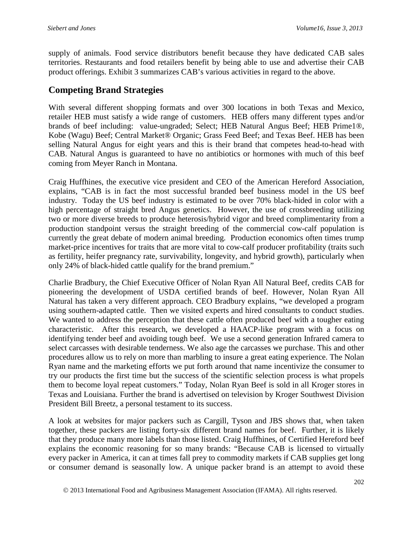supply of animals. Food service distributors benefit because they have dedicated CAB sales territories. Restaurants and food retailers benefit by being able to use and advertise their CAB product offerings. Exhibit 3 summarizes CAB's various activities in regard to the above.

### **Competing Brand Strategies**

With several different shopping formats and over 300 locations in both Texas and Mexico, retailer HEB must satisfy a wide range of customers. HEB offers many different types and/or brands of beef including: value-ungraded; Select; HEB Natural Angus Beef; HEB Prime1®, Kobe (Wagu) Beef; Central Market® Organic; Grass Feed Beef; and Texas Beef. HEB has been selling Natural Angus for eight years and this is their brand that competes head-to-head with CAB. Natural Angus is guaranteed to have no antibiotics or hormones with much of this beef coming from Meyer Ranch in Montana.

Craig Huffhines, the executive vice president and CEO of the American Hereford Association, explains, "CAB is in fact the most successful branded beef business model in the US beef industry. Today the US beef industry is estimated to be over 70% black-hided in color with a high percentage of straight bred Angus genetics. However, the use of crossbreeding utilizing two or more diverse breeds to produce heterosis/hybrid vigor and breed complimentarity from a production standpoint versus the straight breeding of the commercial cow-calf population is currently the great debate of modern animal breeding. Production economics often times trump market-price incentives for traits that are more vital to cow-calf producer profitability (traits such as fertility, heifer pregnancy rate, survivability, longevity, and hybrid growth), particularly when only 24% of black-hided cattle qualify for the brand premium."

Charlie Bradbury, the Chief Executive Officer of Nolan Ryan All Natural Beef, credits CAB for pioneering the development of USDA certified brands of beef. However, Nolan Ryan All Natural has taken a very different approach. CEO Bradbury explains, "we developed a program using southern-adapted cattle. Then we visited experts and hired consultants to conduct studies. We wanted to address the perception that these cattle often produced beef with a tougher eating characteristic. After this research, we developed a HAACP-like program with a focus on identifying tender beef and avoiding tough beef. We use a second generation Infrared camera to select carcasses with desirable tenderness. We also age the carcasses we purchase. This and other procedures allow us to rely on more than marbling to insure a great eating experience. The Nolan Ryan name and the marketing efforts we put forth around that name incentivize the consumer to try our products the first time but the success of the scientific selection process is what propels them to become loyal repeat customers." Today, Nolan Ryan Beef is sold in all Kroger stores in Texas and Louisiana. Further the brand is advertised on television by Kroger Southwest Division President Bill Breetz, a personal testament to its success.

A look at websites for major packers such as Cargill, Tyson and JBS shows that, when taken together, these packers are listing forty-six different brand names for beef. Further, it is likely that they produce many more labels than those listed. Craig Huffhines, of Certified Hereford beef explains the economic reasoning for so many brands: "Because CAB is licensed to virtually every packer in America, it can at times fall prey to commodity markets if CAB supplies get long or consumer demand is seasonally low. A unique packer brand is an attempt to avoid these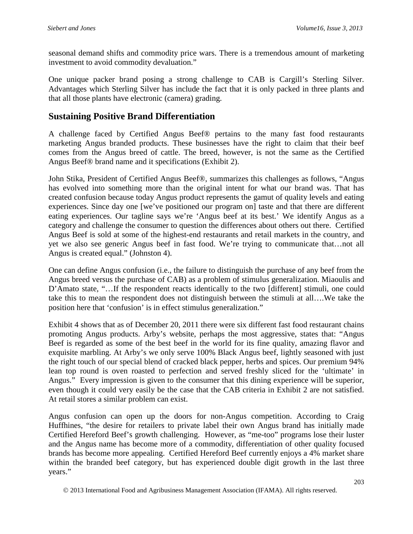seasonal demand shifts and commodity price wars. There is a tremendous amount of marketing investment to avoid commodity devaluation."

One unique packer brand posing a strong challenge to CAB is Cargill's Sterling Silver. Advantages which Sterling Silver has include the fact that it is only packed in three plants and that all those plants have electronic (camera) grading.

# **Sustaining Positive Brand Differentiation**

A challenge faced by Certified Angus Beef® pertains to the many fast food restaurants marketing Angus branded products. These businesses have the right to claim that their beef comes from the Angus breed of cattle. The breed, however, is not the same as the Certified Angus Beef® brand name and it specifications (Exhibit 2).

John Stika, President of Certified Angus Beef®, summarizes this challenges as follows, "Angus has evolved into something more than the original intent for what our brand was. That has created confusion because today Angus product represents the gamut of quality levels and eating experiences. Since day one [we've positioned our program on] taste and that there are different eating experiences. Our tagline says we're 'Angus beef at its best.' We identify Angus as a category and challenge the consumer to question the differences about others out there. Certified Angus Beef is sold at some of the highest-end restaurants and retail markets in the country, and yet we also see generic Angus beef in fast food. We're trying to communicate that…not all Angus is created equal." (Johnston 4).

One can define Angus confusion (i.e., the failure to distinguish the purchase of any beef from the Angus breed versus the purchase of CAB) as a problem of stimulus generalization. Miaoulis and D'Amato state, "...If the respondent reacts identically to the two [different] stimuli, one could take this to mean the respondent does not distinguish between the stimuli at all….We take the position here that 'confusion' is in effect stimulus generalization."

Exhibit 4 shows that as of December 20, 2011 there were six different fast food restaurant chains promoting Angus products. Arby's website, perhaps the most aggressive, states that: "Angus Beef is regarded as some of the best beef in the world for its fine quality, amazing flavor and exquisite marbling. At Arby's we only serve 100% Black Angus beef, lightly seasoned with just the right touch of our special blend of cracked black pepper, herbs and spices. Our premium 94% lean top round is oven roasted to perfection and served freshly sliced for the 'ultimate' in Angus." Every impression is given to the consumer that this dining experience will be superior, even though it could very easily be the case that the CAB criteria in Exhibit 2 are not satisfied. At retail stores a similar problem can exist.

Angus confusion can open up the doors for non-Angus competition. According to Craig Huffhines, "the desire for retailers to private label their own Angus brand has initially made Certified Hereford Beef's growth challenging. However, as "me-too" programs lose their luster and the Angus name has become more of a commodity, differentiation of other quality focused brands has become more appealing. Certified Hereford Beef currently enjoys a 4% market share within the branded beef category, but has experienced double digit growth in the last three years."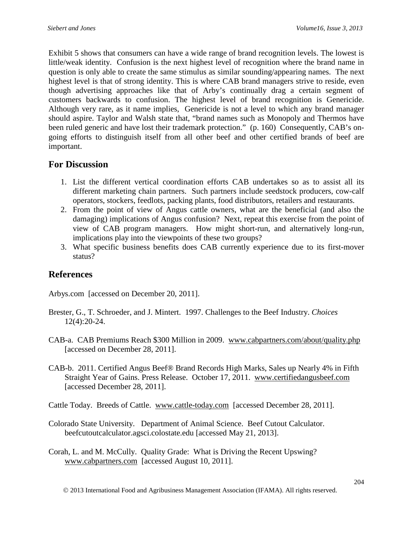Exhibit 5 shows that consumers can have a wide range of brand recognition levels. The lowest is little/weak identity. Confusion is the next highest level of recognition where the brand name in question is only able to create the same stimulus as similar sounding/appearing names. The next highest level is that of strong identity. This is where CAB brand managers strive to reside, even though advertising approaches like that of Arby's continually drag a certain segment of customers backwards to confusion. The highest level of brand recognition is Genericide. Although very rare, as it name implies, Genericide is not a level to which any brand manager should aspire. Taylor and Walsh state that, "brand names such as Monopoly and Thermos have been ruled generic and have lost their trademark protection." (p. 160) Consequently, CAB's ongoing efforts to distinguish itself from all other beef and other certified brands of beef are important.

### **For Discussion**

- 1. List the different vertical coordination efforts CAB undertakes so as to assist all its different marketing chain partners. Such partners include seedstock producers, cow-calf operators, stockers, feedlots, packing plants, food distributors, retailers and restaurants.
- 2. From the point of view of Angus cattle owners, what are the beneficial (and also the damaging) implications of Angus confusion? Next, repeat this exercise from the point of view of CAB program managers. How might short-run, and alternatively long-run, implications play into the viewpoints of these two groups?
- 3. What specific business benefits does CAB currently experience due to its first-mover status?

### **References**

Arbys.com [accessed on December 20, 2011].

- Brester, G., T. Schroeder, and J. Mintert. 1997. Challenges to the Beef Industry. *Choices* 12(4):20-24.
- CAB-a. CAB Premiums Reach \$300 Million in 2009. [www.cabpartners.com/about/quality.php](http://www.cabpartners.com/about/quality.php)  [accessed on December 28, 2011].
- CAB-b. 2011. Certified Angus Beef® Brand Records High Marks, Sales up Nearly 4% in Fifth Straight Year of Gains. Press Release. October 17, 2011. [www.certifiedangusbeef.com](http://www.certifiedangusbeef.com/)  [accessed December 28, 2011].
- Cattle Today. Breeds of Cattle. [www.cattle-today.com](http://www.cattle-today.com/) [accessed December 28, 2011].
- Colorado State University. Department of Animal Science. Beef Cutout Calculator. beefcutoutcalculator.agsci.colostate.edu [accessed May 21, 2013].
- Corah, L. and M. McCully. Quality Grade: What is Driving the Recent Upswing? [www.cabpartners.com](http://www.cabpartners.com/) [accessed August 10, 2011].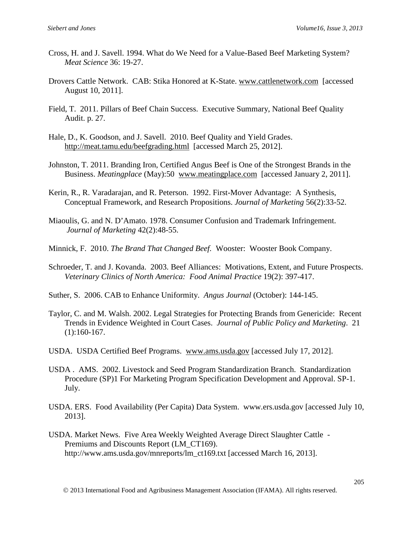- Cross, H. and J. Savell. 1994. What do We Need for a Value-Based Beef Marketing System? *Meat Science* 36: 19-27.
- Drovers Cattle Network. CAB: Stika Honored at K-State. [www.cattlenetwork.com](http://www.cattlenetwork.com/) [accessed August 10, 2011].
- Field, T. 2011. Pillars of Beef Chain Success. Executive Summary, National Beef Quality Audit. p. 27.
- Hale, D., K. Goodson, and J. Savell. 2010. Beef Quality and Yield Grades. <http://meat.tamu.edu/beefgrading.html>[accessed March 25, 2012].
- Johnston, T. 2011. Branding Iron, Certified Angus Beef is One of the Strongest Brands in the Business. *Meatingplace* (May):50 [www.meatingplace.com](http://www.meatingplace.com/) [accessed January 2, 2011].
- Kerin, R., R. Varadarajan, and R. Peterson. 1992. First-Mover Advantage: A Synthesis, Conceptual Framework, and Research Propositions. *Journal of Marketing* 56(2):33-52.
- Miaoulis, G. and N. D'Amato. 1978. Consumer Confusion and Trademark Infringement. *Journal of Marketing* 42(2):48-55.
- Minnick, F. 2010. *The Brand That Changed Beef.* Wooster: Wooster Book Company.
- Schroeder, T. and J. Kovanda. 2003. Beef Alliances: Motivations, Extent, and Future Prospects. *Veterinary Clinics of North America: Food Animal Practice* 19(2): 397-417.
- Suther, S. 2006. CAB to Enhance Uniformity. *Angus Journal* (October): 144-145.
- Taylor, C. and M. Walsh. 2002. Legal Strategies for Protecting Brands from Genericide: Recent Trends in Evidence Weighted in Court Cases. *Journal of Public Policy and Marketing*. 21 (1):160-167.
- USDA. USDA Certified Beef Programs. [www.ams.usda.gov](http://www.ams.usda.gov/) [accessed July 17, 2012].
- USDA . AMS. 2002. Livestock and Seed Program Standardization Branch. Standardization Procedure (SP)1 For Marketing Program Specification Development and Approval. SP-1. July.
- USDA. ERS. Food Availability (Per Capita) Data System. www.ers.usda.gov [accessed July 10, 2013].
- USDA. Market News. Five Area Weekly Weighted Average Direct Slaughter Cattle Premiums and Discounts Report (LM\_CT169). http://www.ams.usda.gov/mnreports/lm\_ct169.txt [accessed March 16, 2013].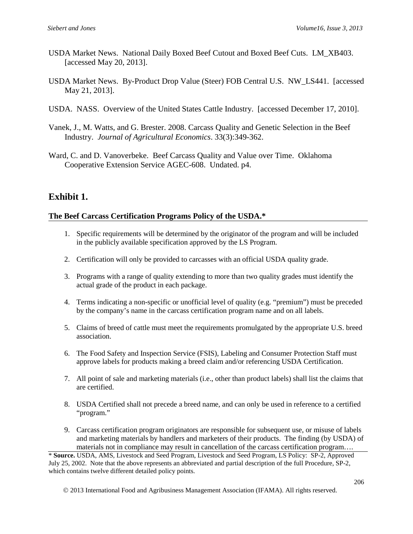- USDA Market News. National Daily Boxed Beef Cutout and Boxed Beef Cuts. LM\_XB403. [accessed May 20, 2013].
- USDA Market News. By-Product Drop Value (Steer) FOB Central U.S. NW\_LS441. [accessed May 21, 2013].
- USDA. NASS. Overview of the United States Cattle Industry. [accessed December 17, 2010].
- Vanek, J., M. Watts, and G. Brester. 2008. Carcass Quality and Genetic Selection in the Beef Industry. *Journal of Agricultural Economics*. 33(3):349-362.
- Ward, C. and D. Vanoverbeke. Beef Carcass Quality and Value over Time. Oklahoma Cooperative Extension Service AGEC-608. Undated. p4.

### **Exhibit 1.**

#### **The Beef Carcass Certification Programs Policy of the USDA.\***

- 1. Specific requirements will be determined by the originator of the program and will be included in the publicly available specification approved by the LS Program.
- 2. Certification will only be provided to carcasses with an official USDA quality grade.
- 3. Programs with a range of quality extending to more than two quality grades must identify the actual grade of the product in each package.
- 4. Terms indicating a non-specific or unofficial level of quality (e.g. "premium") must be preceded by the company's name in the carcass certification program name and on all labels.
- 5. Claims of breed of cattle must meet the requirements promulgated by the appropriate U.S. breed association.
- 6. The Food Safety and Inspection Service (FSIS), Labeling and Consumer Protection Staff must approve labels for products making a breed claim and/or referencing USDA Certification.
- 7. All point of sale and marketing materials (i.e., other than product labels) shall list the claims that are certified.
- 8. USDA Certified shall not precede a breed name, and can only be used in reference to a certified "program."
- 9. Carcass certification program originators are responsible for subsequent use, or misuse of labels and marketing materials by handlers and marketers of their products. The finding (by USDA) of materials not in compliance may result in cancellation of the carcass certification program….

\* **Source.** USDA, AMS, Livestock and Seed Program, Livestock and Seed Program, LS Policy: SP-2, Approved July 25, 2002. Note that the above represents an abbreviated and partial description of the full Procedure, SP-2, which contains twelve different detailed policy points.

2013 International Food and Agribusiness Management Association (IFAMA). All rights reserved.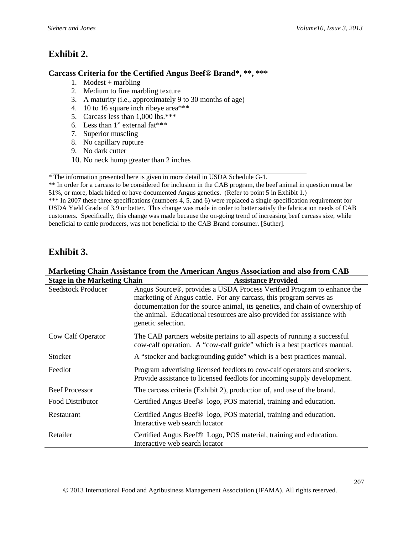# **Exhibit 2.**

#### **Carcass Criteria for the Certified Angus Beef® Brand\*, \*\*, \*\*\***

- 1. Modest  $+$  marbling
- 2. Medium to fine marbling texture
- 3. A maturity (i.e., approximately 9 to 30 months of age)
- 4. 10 to 16 square inch ribeye area\*\*\*
- 5. Carcass less than 1,000 lbs.\*\*\*
- 6. Less than 1" external fat\*\*\*
- 7. Superior muscling
- 8. No capillary rupture
- 9. No dark cutter
- 10. No neck hump greater than 2 inches

\* The information presented here is given in more detail in USDA Schedule G-1.

\*\* In order for a carcass to be considered for inclusion in the CAB program, the beef animal in question must be 51%, or more, black hided or have documented Angus genetics. (Refer to point 5 in Exhibit 1.) \*\*\* In 2007 these three specifications (numbers 4, 5, and 6) were replaced a single specification requirement for

USDA Yield Grade of 3.9 or better. This change was made in order to better satisfy the fabrication needs of CAB customers. Specifically, this change was made because the on-going trend of increasing beef carcass size, while beneficial to cattle producers, was not beneficial to the CAB Brand consumer. [Suther].

# **Exhibit 3.**

| Marketing Chain Assistance from the American Angus Association and also from CAB |                                                                                                                                                                                                                                                                                                                               |  |  |  |  |
|----------------------------------------------------------------------------------|-------------------------------------------------------------------------------------------------------------------------------------------------------------------------------------------------------------------------------------------------------------------------------------------------------------------------------|--|--|--|--|
| <b>Stage in the Marketing Chain</b>                                              | <b>Assistance Provided</b>                                                                                                                                                                                                                                                                                                    |  |  |  |  |
| <b>Seedstock Producer</b>                                                        | Angus Source®, provides a USDA Process Verified Program to enhance the<br>marketing of Angus cattle. For any carcass, this program serves as<br>documentation for the source animal, its genetics, and chain of ownership of<br>the animal. Educational resources are also provided for assistance with<br>genetic selection. |  |  |  |  |
| Cow Calf Operator                                                                | The CAB partners website pertains to all aspects of running a successful<br>cow-calf operation. A "cow-calf guide" which is a best practices manual.                                                                                                                                                                          |  |  |  |  |
| Stocker                                                                          | A "stocker and backgrounding guide" which is a best practices manual.                                                                                                                                                                                                                                                         |  |  |  |  |
| Feedlot                                                                          | Program advertising licensed feedlots to cow-calf operators and stockers.<br>Provide assistance to licensed feedlots for incoming supply development.                                                                                                                                                                         |  |  |  |  |
| <b>Beef Processor</b>                                                            | The carcass criteria (Exhibit 2), production of, and use of the brand.                                                                                                                                                                                                                                                        |  |  |  |  |
| Food Distributor                                                                 | Certified Angus Beef <sup>®</sup> logo, POS material, training and education.                                                                                                                                                                                                                                                 |  |  |  |  |
| Restaurant                                                                       | Certified Angus Beef <sup>®</sup> logo, POS material, training and education.<br>Interactive web search locator                                                                                                                                                                                                               |  |  |  |  |
| Retailer                                                                         | Certified Angus Beef <sup>®</sup> Logo, POS material, training and education.<br>Interactive web search locator                                                                                                                                                                                                               |  |  |  |  |